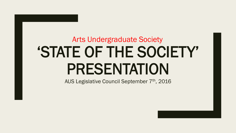# 'STATE OF THE SOCIETY' PRESENTATION Arts Undergraduate Society

AUS Legislative Council September 7<sup>th</sup>, 2016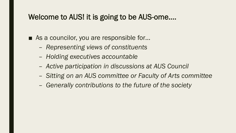#### Welcome to AUS! it is going to be AUS-ome….

■ As a councilor, you are responsible for...

- *Representing views of constituents*
- *Holding executives accountable*
- *Active participation in discussions at AUS Council*
- *Sitting on an AUS committee or Faculty of Arts committee*
- *Generally contributions to the future of the society*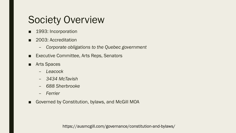# Society Overview

- 1993: Incorporation
- 2003: Accreditation
	- *Corporate obligations to the Quebec government*
- Executive Committee, Arts Reps, Senators
- Arts Spaces
	- *Leacock*
	- *3434 McTavish*
	- *688 Sherbrooke*
	- *Ferrier*
- Governed by Constitution, bylaws, and McGill MOA

https://ausmcgill.com/governance/constitution-and-bylaws/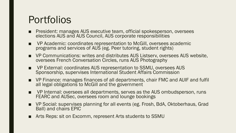# **Portfolios**

- President: manages AUS executive team, official spokesperson, oversees elections AUS and AUS Council, AUS corporate responsibilities
- VP Academic: coordinates representation to McGill, oversees academic programs and services of AUS (eg. Peer tutoring, student rights)
- VP Communications: writes and distributes AUS Listserv, oversees AUS website, oversees French Conversation Circles, runs AUS Photography
- VP External: coordinates AUS representation to SSMU, oversees AUS Sponsorship, supervises International Student Affairs Commission
- VP Finance: manages finances of all departments, chair FMC and AUIF and fulfil all legal obligations to McGill and the government
- VP Internal: oversees all departments, serves as the AUS ombudsperson, runs FEARC and AUSec, oversees room and lounge bookings
- VP Social: supervises planning for all events (eg. Frosh, BdA, Oktoberhaus, Grad Ball) and chairs EPIC
- Arts Reps: sit on Excomm, represent Arts students to SSMU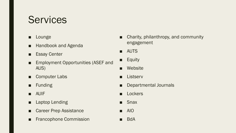### **Services**

- Lounge
- Handbook and Agenda
- Essay Center
- Employment Opportunities (ASEF and AUS)
- Computer Labs
- Funding
- AUIF
- Laptop Lending
- Career Prep Assistance
- Francophone Commission
- Charity, philanthropy, and community engagement
- AUTS
- Equity
- Website
- Listserv
- Departmental Journals
- **Lockers**
- Snax
- AIO
- BdA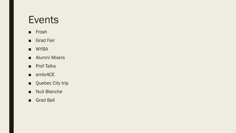#### Events

- Frosh
- Grad Fair
- WYBA
- Alumni Mixers
- Prof Talks
- embrACE
- Quebec City trip
- Nuit Blanche
- Grad Ball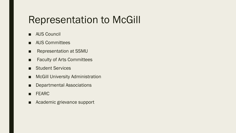### Representation to McGill

- AUS Council
- AUS Committees
- Representation at SSMU
- Faculty of Arts Committees
- Student Services
- McGill University Administration
- Departmental Associations
- FEARC
- Academic grievance support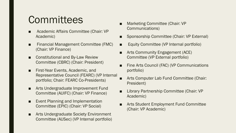# **Committees**

- Academic Affairs Committee (Chair: VP Academic)
- Financial Management Committee (FMC) (Chair: VP Finance)
- **Constitutional and By-Law Review** Committee (CBRC) (Chair: President)
- **First-Year Events, Academic, and** Representative Council (FEARC) (VP Internal portfolio; Chair: FEARC Co-Presidents)
- Arts Undergraduate Improvement Fund Committee (AUIFC) (Chair: VP Finance)
- Event Planning and Implementation Committee (EPIC) (Chair: VP Social)
- Arts Undergraduate Society Environment Committee (AUSec) (VP Internal portfolio)
- Marketing Committee (Chair: VP Communications)
- Sponsorship Committee (Chair: VP External)
- Equity Committee (VP Internal portfolio)
- Arts Community Engagement (ACE) Committee (VP External portfolio)
- Fine Arts Council (FAC) (VP Communications portfolio)
- Arts Computer Lab Fund Committee (Chair: President)
- Library Partnership Committee (Chair: VP Academic)
- Arts Student Employment Fund Committee (Chair: VP Academic)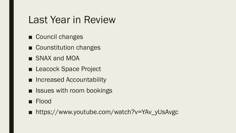#### Last Year in Review

- Council changes
- Counstitution changes
- SNAX and MOA
- Leacock Space Project
- Increased Accountability
- Issues with room bookings
- Flood
- https://www.youtube.com/watch?v=YAv\_yUsAvgc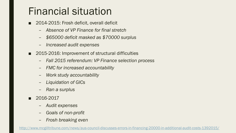# Financial situation

- 2014-2015: Frosh deficit, overall deficit
	- *Absence of VP Finance for final stretch*
	- *\$65000 deficit masked as \$70000 surplus*
	- *Increased audit expenses*
- 2015-2016: Improvement of structural difficulties
	- *Fall 2015 referendum: VP Finance selection process*
	- *FMC for increased accountability*
	- *Work study accountability*
	- *Liquidation of GICs*
	- *Ran a surplus*
- 2016-2017
	- *Audit expenses*
	- *Goals of non-profit*
	- *Frosh breaking even*

<http://www.mcgilltribune.com/news/aus-council-discusses-errors-in-financing-20000-in-additional-audit-costs-1392015/>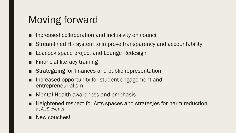# Moving forward

- Increased collaboration and inclusivity on council
- Streamlined HR system to improve transparency and accountability
- Leacock space project and Lounge Redesign
- Financial literacy training
- Strategizing for finances and public representation
- Increased opportunity for student engagement and entrepreneurialism
- Mental Health awareness and emphasis
- Heightened respect for Arts spaces and strategies for harm reduction at AUS events
- New couches!